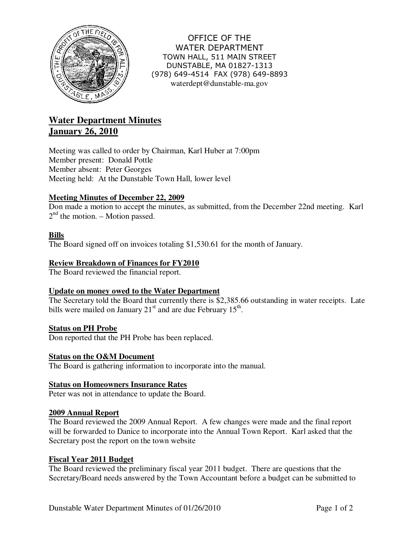

OFFICE OF THE WATER DEPARTMENT TOWN HALL, 511 MAIN STREET DUNSTABLE, MA 01827-1313 (978) 649-4514 FAX (978) 649-8893 waterdept@dunstable-ma.gov

# **Water Department Minutes January 26, 2010**

Meeting was called to order by Chairman, Karl Huber at 7:00pm Member present: Donald Pottle Member absent: Peter Georges Meeting held: At the Dunstable Town Hall, lower level

## **Meeting Minutes of December 22, 2009**

Don made a motion to accept the minutes, as submitted, from the December 22nd meeting. Karl  $2<sup>nd</sup>$  the motion. – Motion passed.

## **Bills**

The Board signed off on invoices totaling \$1,530.61 for the month of January.

#### **Review Breakdown of Finances for FY2010**

The Board reviewed the financial report.

## **Update on money owed to the Water Department**

The Secretary told the Board that currently there is \$2,385.66 outstanding in water receipts. Late bills were mailed on January  $21<sup>st</sup>$  and are due February  $15<sup>th</sup>$ .

## **Status on PH Probe**

Don reported that the PH Probe has been replaced.

#### **Status on the O&M Document**

The Board is gathering information to incorporate into the manual.

#### **Status on Homeowners Insurance Rates**

Peter was not in attendance to update the Board.

#### **2009 Annual Report**

The Board reviewed the 2009 Annual Report. A few changes were made and the final report will be forwarded to Danice to incorporate into the Annual Town Report. Karl asked that the Secretary post the report on the town website

#### **Fiscal Year 2011 Budget**

The Board reviewed the preliminary fiscal year 2011 budget. There are questions that the Secretary/Board needs answered by the Town Accountant before a budget can be submitted to